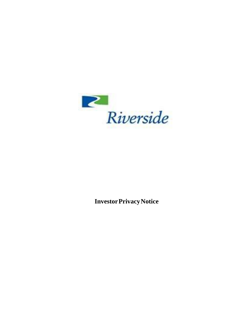

**InvestorPrivacyNotice**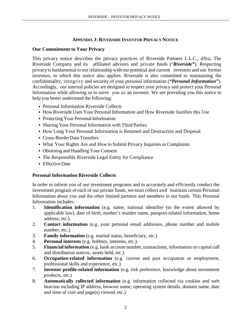### **APPENDIX J: RIVERSIDE INVESTOR PRIVACY NOTICE**

### **Our Commitment to Your Privacy**

This privacy notice describes the privacy practices of Riverside Partners L.L.C., d/b/a, The Riverside Company and its affiliated advisors and private funds ("*Riverside"*). Respecting privacy isfundamental to our relationship with our potential and current investors and our former investors, to which this notice also applies. Riverside is also committed to maintaining the confidentiality, integrity and security of your personal information (*"Personal Information"*). Accordingly, our internal policies are designed to respect your privacy and protect your Personal Information while allowing us to serve you as an investor. We are providing you this notice to help you better understand the following:

- Personal Information Riverside Collects
- How Riverside Uses Your Personal Information and How Riverside Justifies this Use
- Protecting Your Personal Information
- Sharing Your Personal Information with Third Parties
- How Long Your Personal Information is Retained and Destruction and Disposal
- Cross-Border DataTransfers
- What Your Rights Are and How to Submit Privacy Inquiries or Complaints
- Obtaining and Handling Your Consent
- The Responsible Riverside Legal Entity for Compliance
- Effective Date

#### **Personal Information Riverside Collects**

In order to inform you of our investment programs and to accurately and efficiently conduct the investment program of each of our private funds, we must collect and maintain certain Personal Information about you and the other limited partners and members in our funds. This Personal Information includes:

- 1. **Identification information** (e.g. name, national identifier (to the extent allowed by applicable law), date of birth, mother's maiden name, passport-related information, home address, etc.).
- 2. **Contact information** (e.g. your personal email addresses, phone number and mobile number, etc.).
- 3. **Family information** (e.g. marital status, beneficiary, etc.).
- 4. **Personal interests** (e.g. hobbies, interests, etc.).
- 5. **Financial information** (e.g. bank account number, transactions, information on capital call and distribution notices, assets held, etc.).
- 6. **Occupation-related information** (e.g. current and past occupation or employment, professional skills and experience, etc.)
- 7. **Investor profile-related information** (e.g. risk preference, knowledge about investment products, etc.)
- 8. **Automatically collected information** (e.g. information collected via cookies and web beacons including IP address, browser name, operating system details, domain name, date and time of visit and page(s) viewed, etc.)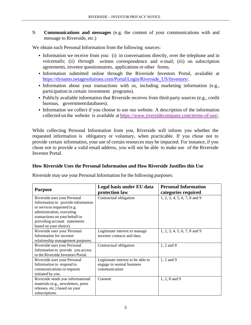9. **Communications and messages** (e.g. the content of your communications with and message to Riverside, etc.)

We obtain such Personal Information from the following sources:

- Information we receive from you: (i) in conversations directly, over the telephone and in voicemails; (ii) through written correspondence and e-mail; (iii) on subscription agreements, investor questionnaires, applications or other forms.
- Information submitted online through the Riverside Investors Portal, available at [https://dynamo.netagesolutions.com/Portal/Login/Riverside\\_US/Investors/.](https://dynamo.netagesolutions.com/Portal/Login/Riverside_US/Investors/)
- Information about your transactions with us, including marketing information (e.g., participation in certain investment programs).
- Publicly available information that Riverside receives from third-party sources (e.g., credit bureaus, governmentdatabases).
- Information we collect if you choose to use our website. A description of the information collected on the website is available at [https://www.riversidecompany.com/terms-of-use/.](https://www.riversidecompany.com/terms-of-use/)

While collecting Personal Information from you, Riverside will inform you whether the requested information is obligatory or voluntary, when practicable. If you chose not to provide certain information, your use of certain resources may be impacted. For instance, if you chose not to provide a valid email address, you will not be able to make use of the Riverside Investor Portal.

#### **How Riverside Uses the Personal Information and How Riverside Justifies this Use**

Riverside may use your Personal Information for the following purposes:

| <b>Purpose</b>                      | Legal basis under EU data<br>protection law | <b>Personal Information</b><br>categories required |
|-------------------------------------|---------------------------------------------|----------------------------------------------------|
| Riverside uses your Personal        | Contractual obligation                      | 1, 2, 3, 4, 5, 6, 7, 8 and 9                       |
| Information to provide information  |                                             |                                                    |
| or services requested (e.g.         |                                             |                                                    |
| administration, executing           |                                             |                                                    |
| transactions on your behalf or      |                                             |                                                    |
| providing account statements        |                                             |                                                    |
| based on your choice).              |                                             |                                                    |
| Riverside uses your Personal        | Legitimate interest to manage               | 1, 2, 3, 4, 5, 6, 7, 8 and 9                       |
| Information for investor            | investor contacts and data.                 |                                                    |
| relationship management purposes.   |                                             |                                                    |
| Riverside uses your Personal        | Contractual obligation                      | 1, 2 and 8                                         |
| Information to provide you access   |                                             |                                                    |
| to the Riverside Investors Portal.  |                                             |                                                    |
| Riverside uses your Personal        | Legitimate interest to be able to           | 1, 2 and 9                                         |
| Information to respond to           | engage in normal business                   |                                                    |
| communications or requests          | communication                               |                                                    |
| initiated by you.                   |                                             |                                                    |
| Riverside sends you informational   | Consent                                     | 1, 2, 8 and 9                                      |
| materials (e.g., newsletters, press |                                             |                                                    |
| releases, etc.) based on your       |                                             |                                                    |
| subscriptions.                      |                                             |                                                    |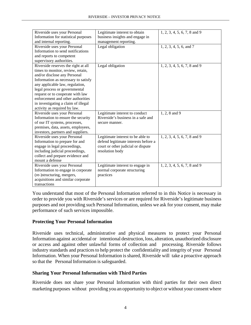| Riverside uses your Personal         | Legitimate interest to obtain        | 1, 2, 3, 4, 5, 6, 7, 8 and 9 |
|--------------------------------------|--------------------------------------|------------------------------|
| Information for statistical purposes | business insights and engage in      |                              |
| and internal reporting.              | management reporting.                |                              |
| Riverside uses your Personal         | Legal obligation                     | 1, 2, 3, 4, 5, 6, and 7      |
| Information to send notifications    |                                      |                              |
| and reports to competent             |                                      |                              |
| supervisory authorities.             |                                      |                              |
| Riverside reserves the right at all  | Legal obligation                     | 1, 2, 3, 4, 5, 6, 7, 8 and 9 |
| times to monitor, review, retain,    |                                      |                              |
| and/or disclose any Personal         |                                      |                              |
| Information as necessary to satisfy  |                                      |                              |
| any applicable law, regulation,      |                                      |                              |
| legal process or governmental        |                                      |                              |
| request or to cooperate with law     |                                      |                              |
| enforcement and other authorities    |                                      |                              |
| in investigating a claim of illegal  |                                      |                              |
| activity as required by law.         |                                      |                              |
| Riverside uses your Personal         | Legitimate interest to conduct       | 1, 2, 8 and 9                |
| Information to ensure the security   | Riverside's business in a safe and   |                              |
| of our IT systems, processes,        | secure manner.                       |                              |
| premises, data, assets, employees,   |                                      |                              |
| investors, partners and suppliers.   |                                      |                              |
| Riverside uses your Personal         | Legitimate interest to be able to    | 1, 2, 3, 4, 5, 6, 7, 8 and 9 |
| Information to prepare for and       | defend legitimate interests before a |                              |
| engage in legal proceedings,         | court or other judicial or dispute   |                              |
| including judicial proceedings,      | resolution body                      |                              |
| collect and prepare evidence and     |                                      |                              |
| mount a defense                      |                                      |                              |
| Riverside uses your Personal         | Legitimate interest to engage in     | 1, 2, 3, 4, 5, 6, 7, 8 and 9 |
| Information to engage in corporate   | normal corporate structuring         |                              |
| (re-)structuring, mergers,           | practices                            |                              |
| acquisitions and similar corporate   |                                      |                              |
| transactions                         |                                      |                              |

You understand that most of the Personal Information referred to in this Notice is necessary in order to provide you with Riverside's services or are required for Riverside's legitimate business purposes and not providing such Personal Information, unless we ask for your consent, may make performance of such services impossible.

# **Protecting Your Personal Information**

Riverside uses technical, administrative and physical measures to protect your Personal Information against accidental or intentional destruction, loss, alteration, unauthorized disclosure or access and against other unlawful forms of collection and processing. Riverside follows industry standards and practices to help protect the confidentiality and integrity of your Personal Information. When your Personal Information is shared, Riverside will take a proactive approach so that the Personal Information is safeguarded.

# **Sharing Your Personal Information with Third Parties**

Riverside does not share your Personal Information with third parties for their own direct marketing purposes without providing you an opportunity to object or without your consent where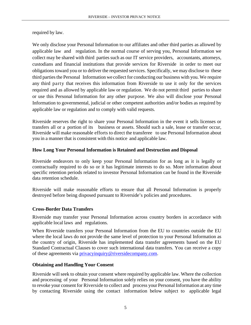required by law.

We only disclose your Personal Information to our affiliates and other third parties as allowed by applicable law and regulation. In the normal course of serving you, Personal Information we collect may be shared with third parties such as our IT service providers, accountants, attorneys, custodians and financial institutions that provide services for Riverside in order to meet our obligations toward you or to deliver the requested services. Specifically, we may disclose to these third parties the Personal Information we collect for conducting our business with you. We require any third party that receives this information from Riverside to use it only for the services required and as allowed by applicable law or regulation. We do not permit third parties to share or use this Personal Information for any other purpose. We also will disclose your Personal Information to governmental, judicial or other competent authorities and/or bodies as required by applicable law or regulation and to comply with valid requests.

Riverside reserves the right to share your Personal Information in the event it sells licenses or transfers all or a portion of its business or assets. Should such a sale, lease or transfer occur, Riverside will make reasonable efforts to direct the transferee to use Personal Information about you in a manner that is consistent with this notice and applicable law.

### **How Long Your Personal Information is Retained and Destruction and Disposal**

Riverside endeavors to only keep your Personal Information for as long as it is legally or contractually required to do so or it has legitimate interests to do so. More information about specific retention periods related to investor Personal Information can be found in the Riverside data retention schedule.

Riverside will make reasonable efforts to ensure that all Personal Information is properly destroyed before being disposed pursuant to Riverside's policies and procedures.

# **Cross-Border Data Transfers**

Riverside may transfer your Personal Information across country borders in accordance with applicable local laws and regulations.

When Riverside transfers your Personal Information from the EU to countries outside the EU where the local laws do not provide the same level of protection to your Personal Information as the country of origin, Riverside has implemented data transfer agreements based on the EU Standard Contractual Clauses to cover such international data transfers. You can receive a copy of these agreements via [privacyinquiry@riversidecompany.com.](mailto:privacyinquiry@riversidecompany.com)

# **Obtaining and Handling Your Consent**

Riverside willseek to obtain your consent where required by applicable law. Where the collection and processing of your Personal Information solely relies on your consent, you have the ability to revoke your consent for Riverside to collect and process your Personal Information at any time by contacting Riverside using the contact information below subject to applicable legal